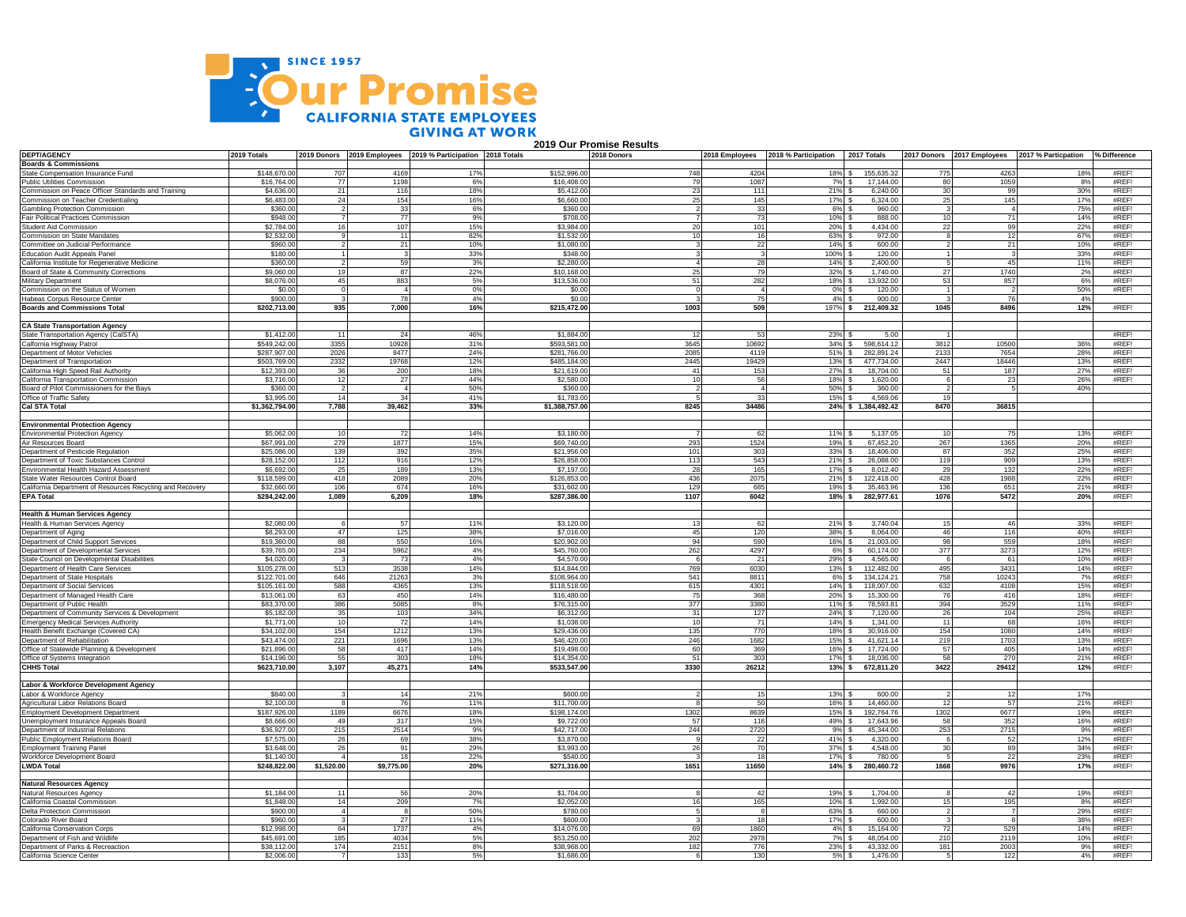

 **2019 Our Promise Results**

| <b>DEPT/AGENCY</b>                                                                        | 2019 Totals              |            |              | 2019 Donors 2019 Employees 2019 % Participation 2018 Totals |                            | 2018 Donors |                 | 2018 Employees 2018 % Participation | 2017 Totals            |                 |                | 2017 Donors 2017 Employees 2017 % Particpation % Difference |       |
|-------------------------------------------------------------------------------------------|--------------------------|------------|--------------|-------------------------------------------------------------|----------------------------|-------------|-----------------|-------------------------------------|------------------------|-----------------|----------------|-------------------------------------------------------------|-------|
| <b>Boards &amp; Commissions</b>                                                           |                          |            |              |                                                             |                            |             |                 |                                     |                        |                 |                |                                                             |       |
| State Compensation Insurance Fund                                                         | \$148,670.00             | 707        | 4169         | 17%                                                         | \$152,996.00               | 748         | 4204            | 18%                                 | 155.635.32             | 775             | 4263           | 18%                                                         | #REF! |
| <b>Public Utilities Commission</b>                                                        | \$16,764.00              | 77         | 1198         | 6%                                                          | \$16,408.00                | 79          | 1087            | 7%                                  | 17.144.00              | -80             | 1059           | 8%                                                          | #REF! |
| Commission on Peace Officer Standards and Training<br>Commission on Teacher Credentialing | \$4,636.0                | 21         | 116          | 18%                                                         | \$5,412.00                 | 23          | 111             | 21%                                 | 6,240.00               | 30              | 99             | 30%                                                         | #REF! |
|                                                                                           | \$6,483.0                | 24         | 154          | 16%                                                         | \$6,660.00                 | 25          | 145             | 17%                                 | 6,324.00               | 25              | 145            | 17%                                                         | #RFF  |
| <b>Gambling Protection Commission</b>                                                     | \$360,00                 |            | 33           | 6%                                                          | \$360.00                   |             | 33              | 6%                                  | 960.00                 |                 | $\mathbf{A}$   | 75%                                                         | #RFF  |
| Fair Political Practices Commission                                                       | \$948.0                  |            | 77           | 9%                                                          | \$708.00                   |             | 73              | 10%                                 | 888.00                 |                 | 71             | 14%                                                         | #REF! |
| Student Aid Commission                                                                    | \$2,784.00               |            | 107          | 15%                                                         | \$3,984.00                 | 20          | 101             | 20%                                 | 4,434.00               | 22              | 99             | 22%                                                         | #REF! |
| Commission on State Mandates                                                              | \$2,532.00               |            | 11           | 82%                                                         | \$1,532.00                 | 10          | 16              | 63%                                 | 972.00                 |                 | 12             | 67%                                                         | #RFFI |
| Committee on Judicial Performance                                                         | \$960.00                 |            | 21           | 10%                                                         | \$1,080.00                 |             | 22              | 14%                                 | 600.00                 |                 | 21             | 10%                                                         | #REF! |
| <b>Education Audit Appeals Panel</b>                                                      | \$180.00                 |            |              | 33%                                                         | \$348.00                   |             |                 | 100%                                | 120.00                 |                 |                | 33%                                                         | #REF! |
| California Institute for Regenerative Medicine                                            | \$360.0                  |            | 59           | 3%                                                          | \$2,280.00                 |             | 28              | 14%                                 | 2,400.00               |                 | 45             | 11%                                                         | #REF! |
| Board of State & Community Corrections                                                    | \$9,060.0                |            | 87           | 22%                                                         | \$10,168.00                | 25          | 79              | 32%                                 | 1,740.00               | 27              | 1740           | 2%                                                          | #REF! |
| Military Department                                                                       | \$8,076.0                | 45         | 883          | 5%                                                          | \$13,536.00                | 51          | 282             | 18%                                 | 13,932.00              | 53              | 857            | 6%                                                          | #RFFI |
| Commission on the Status of Women                                                         | \$0.00                   |            |              | 0%                                                          | \$0.00                     |             |                 | 0%                                  | 120.00                 |                 |                | 50%                                                         | #REF! |
| Habeas Corpus Resource Center                                                             | \$900.00                 |            | 78           | 4%                                                          | \$0.00                     |             | 75              | 4%                                  | 900.00                 |                 | 76             | 4%                                                          |       |
| <b>Boards and Commissions Total</b>                                                       | \$202,713.00             | 935        | 7,000        | 16%                                                         | \$215,472.00               | 1003        | 509             | 197%                                | 212,409.32             | 1045            | 8496           | 12%                                                         | #REF! |
|                                                                                           |                          |            |              |                                                             |                            |             |                 |                                     |                        |                 |                |                                                             |       |
| <b>CA State Transportation Agency</b>                                                     |                          |            |              |                                                             |                            |             |                 |                                     |                        |                 |                |                                                             |       |
| State Transportation Agency (CalSTA)                                                      | \$1,412.00               | -11        | - 24         | 46%                                                         | \$1,884.00                 | -12         | 53              | 23%                                 | 5.00                   |                 |                |                                                             | #REF! |
| Calfornia Highway Patrol                                                                  | \$549,242.0              | 3355       | 10928        | 31%                                                         | \$593,581.00               | 3645        | 10692           | 34%                                 | 598,614.12             | 3812            | 10500          | 36%                                                         | #REF! |
| Department of Motor Vehicles                                                              | \$287,907.0              | 2026       | 8477         | 24%                                                         | \$281,766.00               | 2085        | 4119            | 51%                                 | 282,891.24             | 2133            | 7654           | 28%                                                         | #REF! |
| Department of Transportation<br>California High Speed Rail Authority                      | \$503,769.0              | 2332       | 19768        | 12%                                                         | \$485,184.00               | 2445        | 19429           | 13%                                 | 477,734.00             | 2447            | 18446          | 13%                                                         | #REF! |
|                                                                                           | \$12,393.00              | 36         | 200          | 18%                                                         | \$21.619.00                | 41          | 153             | 27%                                 | 18,704.00              | 51              | 187            | 27%                                                         | #RFF  |
| California Transportation Commission                                                      | \$3,716.0                | 12         | 27           | 44%                                                         | \$2,580.0                  | 10          | 56              | 18%                                 | 1,620.00               |                 | -23            | 26%                                                         | #REF! |
| Board of Pilot Commissioners for the Bays                                                 | \$360.00                 |            |              | 50%                                                         | \$360.00                   |             |                 | 50%                                 | 360.00                 |                 |                | 40%                                                         |       |
| Office of Traffic Safety                                                                  | \$3,995.00               | 14         | 34           | 41%                                                         | \$1,783.00                 |             | 33              | $15%$ \$                            | 4,569.06               | 10              |                |                                                             |       |
| <b>Cal STA Total</b>                                                                      | \$1,362,794.00           | 7,788      | 39,462       | 33%                                                         | \$1,388,757.00             | 8245        | 34486           |                                     | 24% \$ 1,384,492.42    | 8470            | 36815          |                                                             |       |
|                                                                                           |                          |            |              |                                                             |                            |             |                 |                                     |                        |                 |                |                                                             |       |
| <b>Environmental Protection Agency</b>                                                    |                          |            |              |                                                             |                            |             |                 |                                     |                        |                 |                |                                                             |       |
| <b>Environmental Protection Agency</b>                                                    | \$5,062.0                |            | 72           | 14%                                                         | \$3,180.00                 |             | 62              | 11%                                 | 5,137.05               |                 | 75             | 13%                                                         | #REF! |
| Air Resources Board                                                                       | \$67,991.00              | 279        | 1877         | 15%                                                         | \$69,740.00                | 293         | 1524            | 19%                                 | 67,452.20              | 267             | 1365           | 20%                                                         | #RFFI |
| Department of Pesticide Regulation                                                        | \$25,086,00              | 139        | 392          | 35%                                                         | \$21,956.00                | 101         | 303             | 33%                                 | 18,406.00              | 87              | 352            | 25%                                                         | #RFF  |
| Department of Toxic Substances Control                                                    | \$28,152.00              | 112        | 916          | 12%                                                         | \$26,858.00                | 113         | 543             | 21%                                 | 26,088.00              | 119             | 909            | 13%                                                         | #REF! |
| Environmental Health Hazard Assessment                                                    | \$6,692.0                | 25         | 189          | 13%                                                         | \$7,197.00                 | 28          | 165             | 17%                                 | 8.012.40               | 29              | 132            | 22%                                                         | #REF! |
| State Water Resources Control Board                                                       | \$118,599.00             | 418        | 2089         | 20%                                                         | \$126,853.00               | 436         | 2075            | 21%                                 | 122,418.00             | 428             | 1988           | 22%                                                         | #REF! |
| California Department of Resources Recycling and Recovery                                 | \$32,660.0               | 106        | 674          | 16%                                                         | \$31,602.00                | 129         | 685             | 19%                                 | 35.463.96              | 136             | 651            | 21%                                                         | #REF! |
| <b>EPA Total</b>                                                                          | \$284,242.00             | 1.089      | 6.209        | 18%                                                         | \$287,386.00               | 1107        | 6042            | 18%                                 | 282.977.61             | 1076            | 5472           | 20%                                                         | #REF! |
|                                                                                           |                          |            |              |                                                             |                            |             |                 |                                     |                        |                 |                |                                                             |       |
| <b>Health &amp; Human Services Agency</b>                                                 |                          |            |              |                                                             |                            |             |                 |                                     |                        |                 |                |                                                             |       |
| Health & Human Services Agency                                                            | \$2,080.0                |            | 57           | 11%                                                         | \$3,120.00                 | 13          | 62              | 21%                                 | 3,740.04               | 15              | 46             | 33%                                                         | #REF! |
| Department of Aging                                                                       | \$8,293.0                | 47         | 125          | 38%                                                         | \$7.016.0                  | 45          | 120             | 38%                                 | 8.064.00               | 46              | 116            | 40%                                                         | #REF! |
| Department of Child Support Services                                                      | \$19,360.0               | 88         | 550          | 16%                                                         | \$20,902.0                 | 94          | 590             | 16%                                 | 21,003.00              | 98              | 559            | 18%                                                         | #RFF  |
| Department of Developmental Services                                                      | \$39,765.00              | 234        | 5962         | 4%                                                          | \$45,760.0                 | 262         | 4297            | 6%                                  | 60,174.00              | 377             | 3273           | 12%                                                         | #REF! |
| State Council on Developmental Disabilities                                               | \$4,020.00               |            | 73           | 4%                                                          | \$4,570.00                 | - 6         | 21              | $29%$ S                             | 4,565.00               |                 | 61             | 10%                                                         | #REF! |
| Department of Health Care Services                                                        | \$105,278.00             | 513        | 3538         | 14%                                                         | \$14,844.00                | 769         | 6030            | 13%                                 | 112,482.00             | 495             | 3431           | 14%                                                         | #REF! |
| Department of State Hospitals                                                             | \$122,701.00             | 646        | 21263        | 3%                                                          | \$108,964.00               | 541         | 8811            | 6%                                  | 134.124.21             | 758             | 10243          | 7%                                                          | #REF! |
| Department of Social Services                                                             | \$105,161.0              | 588        | 4365         | 13%                                                         | \$118,518.00               | 615         | 4301            | 14%                                 | 118,007.00             | 632             | 4108           | 15%                                                         | #REF! |
| Department of Managed Health Care                                                         | \$13,061.00              | 63         | 450          | 14%                                                         | \$16,480.00                | 75          | 368             | 20%                                 | 15,300.00              | 76              | 416            | 18%                                                         | #REF! |
| Department of Public Health                                                               | \$83,370.0               | 386        | 5085         | 8%                                                          | \$76,315.00                | 377         | 3380            | 11%                                 | 78,593.81              | 394             | 3529           | 11%                                                         | #REF! |
| Department of Community Services & Development                                            | \$5,182.00               | 35         | 103          | 34%                                                         | \$6,312.00                 | 31          | 127             | 24%                                 | 7.120.00               | 26              | 104            | 25%                                                         | #RFF  |
| <b>Emergency Medical Services Authority</b>                                               | \$1,771.00               | 10         | 72           | 14%                                                         | \$1,038.00                 | 10          | 71              | 14%                                 | 1,341.00               | $\overline{11}$ | 68             | 16%                                                         | #RFF  |
| Health Benefit Exchange (Covered CA)                                                      | \$34,102.00              | 154        | 1212         | 13%                                                         | \$29,436.00                | 135         | 770             | 18%                                 | 30,916.00              | 154             | 1080           | 14%                                                         | #REF! |
| Department of Rehabilitation                                                              | \$43,474.00              | 221        | 1696         | 13%                                                         | \$46,420.00                | 246         | 1682            | 15%                                 | 41.621.14              | 219             | 1703           | 13%                                                         | #REF! |
| Office of Statewide Planning & Development                                                | \$21,896.00              | 58         | 417          | 14%                                                         | \$19,498.00                | 60          | 369             | 16%                                 | 17,724.00              | 57              | 405            | 14%                                                         | #RFFI |
| Office of Systems Integration                                                             | \$14,196.00              | 55         | 303          | 18%                                                         | \$14,354.00                | 51          | 30 <sup>°</sup> | 17%                                 | 18,036.00              | 58              | 270            | 21%                                                         | #REF! |
| <b>CHHS Total</b>                                                                         | \$623,710.00             | 3,107      | 45,271       | 14%                                                         | \$533,547.00               | 3330        | 26212           | $13%$ \$                            | 672,811.20             | 3422            | 29412          | 12%                                                         | #REF! |
|                                                                                           |                          |            |              |                                                             |                            |             |                 |                                     |                        |                 |                |                                                             |       |
| Labor & Workforce Development Agency                                                      |                          |            |              |                                                             |                            |             |                 |                                     |                        |                 |                |                                                             |       |
| Labor & Workforce Agency                                                                  | \$840.00                 |            | 14           | 21%                                                         | \$600.00                   |             | 15              | 13%                                 | 600.00                 |                 | 12             | 17%                                                         |       |
| Agricultural Labor Relations Board                                                        | \$2,100.0                |            | 76           | 11%                                                         | \$11,700.0                 |             | 50              | 16%                                 | 14,460.00              |                 | 57             | 21%                                                         | #REF! |
| <b>Employment Development Department</b>                                                  | \$187,926.0              | 1189       | 6676         | 18%                                                         | \$198,174.00               | 1302        | 8639            | 15%                                 | 192,764.76             | 1302            | 6677           | 19%                                                         | #REF! |
| Unemployment Insurance Appeals Board                                                      | \$8,666.00               | 49         | 317          | 15%                                                         | \$9,722.00                 | 57          | 116             | 49%                                 | 17.643.96              | 58              | 352            | 16%                                                         | #REF! |
| Department of Industrial Relations                                                        | \$36,927.00              | 215        | 2514         | 9%                                                          | \$42,717.00                | 244         | 2720            | 9%                                  | 45,344.00              | 253             | 2715           | 9%                                                          | #REF! |
| Public Employment Relations Board                                                         | \$7,575.00               | 26         | 69           | 38%                                                         | \$3,870.00                 |             | 22              | 41%                                 | 4,320.00               |                 | -52            | 12%                                                         | #REF! |
| <b>Employment Training Panel</b>                                                          | \$3.648.0                | 26         | 91           | 29%                                                         | \$3,993.00                 | 26          | 70              | 37%                                 | 4,548.00               |                 | 89             | 34%                                                         | #REF! |
| Workforce Development Board                                                               | \$1,140.0                |            |              | 22%                                                         | \$540.00                   |             | 18              | 17%                                 | 780.00                 |                 | 22             | 23%                                                         | #REF! |
| <b>LWDA Total</b>                                                                         | \$248,822.00             | \$1,520.00 | \$9,775.00   | 20%                                                         | \$271,316.00               | 1651        | 11650           | $14%$ \$                            | 280,460.72             | 1668            | 9976           | 17%                                                         | #REF! |
| <b>Natural Resources Agency</b>                                                           |                          |            |              |                                                             |                            |             |                 |                                     |                        |                 |                |                                                             |       |
| Natural Resources Agency                                                                  | \$1,184.00               | 11         | 56           | 20%                                                         | \$1,704.00                 |             | 42              | 19%                                 | 1,704.00               |                 | 42             | 19%                                                         | #REF! |
| California Coastal Commission                                                             | \$1,848.00               | 14         | 209          | 7%                                                          | \$2,052.00                 | 16          | 165             | 10%                                 | 1,992.00               | 15              | 195            | 8%                                                          | #REF! |
| Delta Protection Commission                                                               | \$900.00                 |            | - 8          | 50%                                                         | \$780.00                   | -5          |                 | 63%                                 | 660.00                 |                 | $\overline{7}$ | 29%                                                         | #RFFI |
| Colorado River Board                                                                      | \$960.00                 |            | 27           | 11%                                                         | \$600.00                   |             | -81<br>18       | 17%                                 | 600.00                 |                 |                | 38%                                                         | #REF! |
|                                                                                           |                          |            |              |                                                             |                            | 69          |                 |                                     | 15.164.00              |                 |                |                                                             | #REF! |
| California Conservation Corps<br>Department of Fish and Wildlife                          | \$12,998.0               | 64<br>185  | 1737<br>4034 | 4%                                                          | \$14,076.00                |             | 1860            | 4%                                  |                        | -72             | 529            | 14%                                                         | #RFF  |
|                                                                                           | \$45,691.00              | 174        | 2151         | 5%<br>8%                                                    | \$53,250.00<br>\$38,968.00 | 202<br>182  | 2978<br>776     | 7%                                  | 48,054.00<br>43.332.00 | 210<br>181      | 2119           | 10%<br>9%                                                   | #REF! |
| Department of Parks & Recreaction<br>California Science Center                            | \$38,112.0<br>\$2,006.00 |            | 133          | 5%                                                          | \$1,686.00                 |             | 130             | 23%                                 | 1.476.00               |                 | 2003<br>122    | 4%                                                          | #REF! |
|                                                                                           |                          |            |              |                                                             |                            |             |                 | $5\%$ \$                            |                        |                 |                |                                                             |       |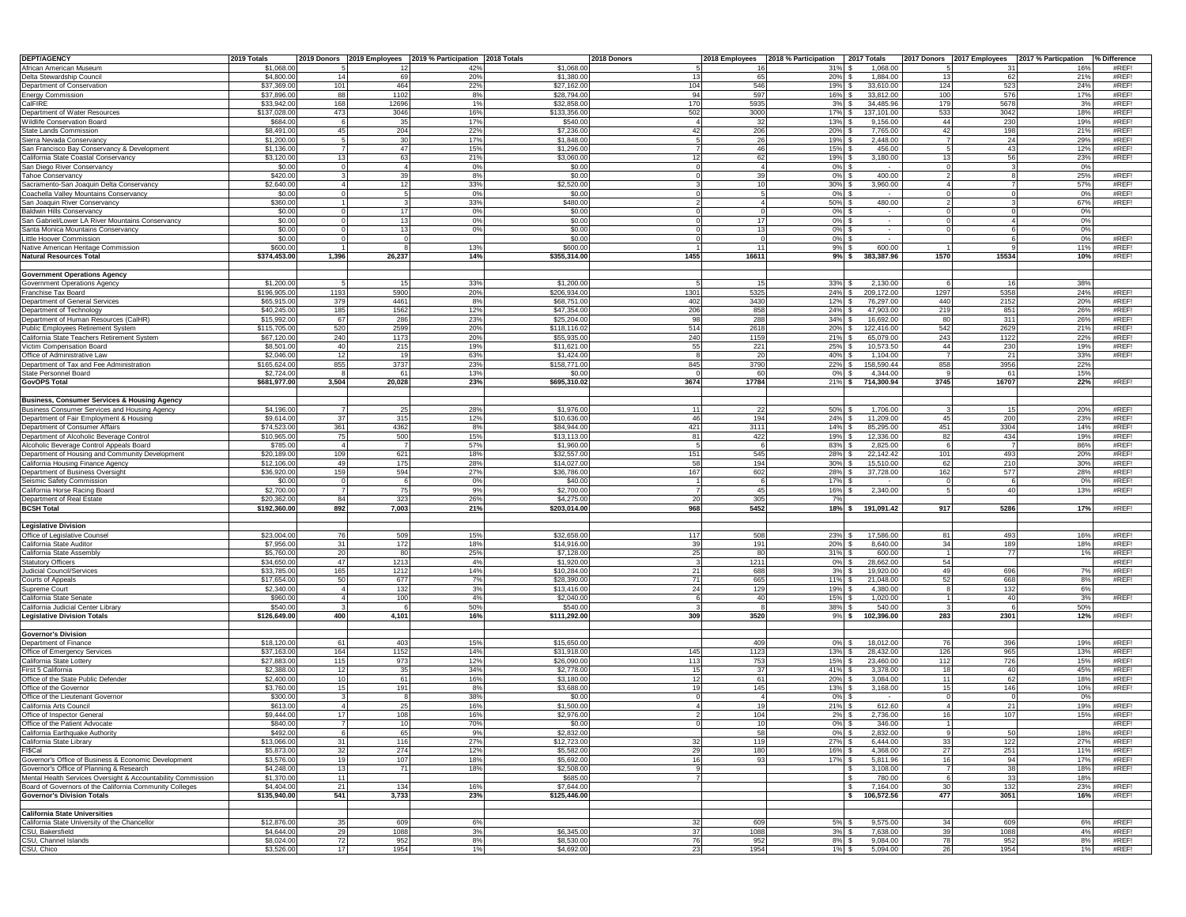| <b>DEPT/AGENCY</b>                                                                       | 2019 Totals  |       |           | 2019 Donors 2019 Employees 2019 % Participation 2018 Totals |              | 2018 Donors       |       | 2018 Employees 2018 % Participation 2017 Totals |                  |      |       | 2017 Donors 2017 Employees 2017 % Particpation % Difference |                    |
|------------------------------------------------------------------------------------------|--------------|-------|-----------|-------------------------------------------------------------|--------------|-------------------|-------|-------------------------------------------------|------------------|------|-------|-------------------------------------------------------------|--------------------|
| African American Museum                                                                  | \$1,068.0    |       |           | 42%                                                         | \$1,068.00   |                   |       | 31%                                             | 1,068.00         |      |       | 16%                                                         | #REF!              |
| Delta Stewardship Council                                                                | \$4,800.0    | 14    | 69        | 20%                                                         | \$1,380.0    | 13                | 65    | 20%                                             | 1,884.00         | 13   | 62    | 21%                                                         | #REF!              |
| Department of Conservation                                                               | \$37,369.0   | 101   | 464       | 22%                                                         | \$27,162.0   | 104               | 546   | 19%                                             | 33,610.00        | 124  | 523   | 24%                                                         | #REF!              |
| <b>Energy Commission</b>                                                                 | \$37,896.0   | 88    | 1102      | 8%                                                          | \$28,794.0   | 94                | 597   | 16%                                             | 33,812.00        | 100  | 576   | 17%                                                         | #REF!              |
| CalFIRE                                                                                  | \$33,942.00  | 168   | 12696     | 1%                                                          | \$32,858.0   | 170               | 5935  | 3%                                              | 34,485.96        | 179  | 5678  | 3%                                                          | #REF!              |
| Department of Water Resources                                                            | \$137,028.0  | 473   | 3046      | 16%                                                         | \$133,356.0  | 502               | 3000  | 17%                                             | 137,101.00       | 533  | 3042  | 18%                                                         | #REF!              |
| Wildlife Conservation Board                                                              | \$684.0      |       | 35        | 17%                                                         | \$540.0      | $\mathbf{\Delta}$ | -32   | 13%                                             | 9.156.00         | 44   | 230   | 19%                                                         | #REF!              |
| State Lands Commission                                                                   | \$8,491.0    | 45    | 204       | 22%                                                         | \$7,236.0    | 42                | 206   | 20%                                             | 7,765.00         | 42   | 198   | 21%                                                         | #REF!              |
| Sierra Nevada Conservancy                                                                | \$1,200.0    |       | 30        | 17%                                                         | \$1,848.0    |                   | 26    | 19%                                             | 2,448.00         |      | 24    | 29%                                                         | #REF!              |
| San Francisco Bay Conservancy & Development                                              | \$1,136.0    |       | 47        | 15%                                                         | \$1,296.0    |                   | 46    | 15%                                             | 456.00           |      | 43    | 12%                                                         | #REF!              |
| California State Coastal Conservancy                                                     | \$3,120.0    |       | 63        | 21%                                                         | \$3,060.0    | 12                | 62    | 19%                                             | 3,180.00         | 13   | 56    | 23%                                                         | #REF!              |
| San Diego River Conservancy                                                              | \$0.00       |       | $\Lambda$ | 0%                                                          | \$0.00       |                   |       | 0%                                              |                  |      |       | 0%                                                          |                    |
| <b>Tahoe Conservancy</b>                                                                 | \$420.0      |       | 39        | 8%                                                          | \$0.00       |                   | 39    | 0%                                              | 400.00           |      |       | 25%                                                         | #REF!              |
| Sacramento-San Joaquin Delta Conservancy                                                 | \$2,640.0    |       | 12        | 33%                                                         | \$2,520.0    |                   | 10    | 30%                                             | 3,960.00         |      |       | 57%                                                         | #REF!              |
| Coachella Valley Mountains Conservancy                                                   | \$0.00       |       |           | 0%                                                          | \$0.00       |                   |       | 0%                                              |                  |      |       | 0%                                                          | #REF!              |
| San Joaquin River Conservancy                                                            | \$360.00     |       | 17        | 33%                                                         | \$480.00     |                   |       | 50%                                             | 480.00           |      |       | 67%                                                         | #REF!              |
| <b>Baldwin Hills Conservancy</b>                                                         | \$0.00       |       |           | 0%                                                          | \$0.00       |                   | 17    | 0%                                              |                  |      |       | 0%                                                          |                    |
| San Gabriel/Lower LA River Mountains Conservancy                                         | \$0.00       |       | 13        | 0%                                                          | \$0.00       |                   | 13    | $0\%$                                           |                  |      |       | 0%                                                          |                    |
| Santa Monica Mountains Conservancy                                                       | \$0.00       |       | 13        | 0%                                                          | \$0.00       |                   |       | 0%                                              |                  |      |       | 0%                                                          |                    |
| Little Hoover Commission                                                                 | \$0.00       |       |           |                                                             | \$0.00       |                   | 11    | $0\%$                                           |                  |      |       | 0%                                                          | #REF!              |
| Native American Heritage Commission<br><b>Natural Resources Total</b>                    | \$600.0      |       |           | 13%                                                         | \$600.0      | 1455              |       | 9%                                              | 600.00           |      | 15534 | 11%                                                         | #REF!              |
|                                                                                          | \$374,453.00 | 1,396 | 26,237    | 14%                                                         | \$355,314.00 |                   | 16611 | 9%S                                             | 383,387.96       | 1570 |       | 10%                                                         | #REF!              |
|                                                                                          |              |       |           |                                                             |              |                   |       |                                                 |                  |      |       |                                                             |                    |
| <b>Government Operations Agency</b><br>Government Operations Agency                      | \$1,200.00   |       | 15        | 33%                                                         | \$1,200.0    |                   |       | 33%                                             | 2,130.00         |      | 16    | 38%                                                         |                    |
| Franchise Tax Board                                                                      | \$196,905.00 | 1193  | 5900      | 20%                                                         | \$206,934.0  | 1301              | 5325  | 24%                                             | 209,172.00       | 1297 | 5358  | 24%                                                         | #REF!              |
| Department of General Services                                                           | \$65,915.0   | 379   | 4461      | 8%                                                          | \$68,751.0   | 402               | 3430  | 12%                                             | 76,297.00        | 440  | 2152  | 20%                                                         | #REF!              |
| Department of Technology                                                                 | \$40,245.0   | 185   | 1562      | 12%                                                         | \$47,354.0   | 206               | 858   | 24%                                             | 47,903.00        | 219  | 851   | 26%                                                         | #REF!              |
| Department of Human Resources (CalHR)                                                    | \$15,992.0   | 67    | 286       | 23%                                                         | \$25,204.0   | 98                | 288   | 34%                                             | 16,692.00        | 80   | 311   | 26%                                                         | #REF!              |
| Public Employees Retirement System                                                       | \$115,705.0  | 520   | 2599      | 20%                                                         | \$118,116.0  | 514               | 2618  | 20%                                             | 122,416.00       | 542  | 2629  | 21%                                                         | #REF!              |
| California State Teachers Retirement System                                              | \$67,120.0   | 240   | 1173      | 20%                                                         | \$55,935.0   | 240               | 1159  | 21%                                             | 65,079.00        | 243  | 1122  | 22%                                                         | #REF!              |
| Victim Compensation Board                                                                | \$8,501.0    | 40    | 215       | 19%                                                         | \$11,621.0   | 55                | 221   | 25%                                             | 10,573.50        | 44   | 230   | 19%                                                         | #REF!              |
| Office of Administrative Law                                                             | \$2,046.0    | 12    | 19        | 63%                                                         | \$1,424.0    |                   | 20    | 40%                                             | 1,104.00         |      | 21    | 33%                                                         | #REF!              |
| Department of Tax and Fee Administration                                                 | \$165,624.0  | 855   | 3737      | 23%                                                         | \$158,771.0  | 845               | 3790  | 22%                                             | 158,590.44       | 858  | 3956  | 22%                                                         |                    |
| State Personnel Board                                                                    | \$2,724.0    |       | 61        | 13%                                                         | \$0.0        |                   | 60    | 0%                                              | 4,344.00         |      | 61    | 15%                                                         |                    |
|                                                                                          | \$681,977.00 | 3,504 |           |                                                             |              | 3674              | 17784 | 21%                                             |                  |      | 16707 |                                                             | #REF!              |
| <b>GovOPS Total</b>                                                                      |              |       | 20,028    | 23%                                                         | \$695,310.0  |                   |       |                                                 | 714,300.94       | 3745 |       | 22%                                                         |                    |
| <b>Business, Consumer Services &amp; Housing Agency</b>                                  |              |       |           |                                                             |              |                   |       |                                                 |                  |      |       |                                                             |                    |
|                                                                                          | \$4,196.0    |       | 25        | 28%                                                         | \$1,976.0    | 11                | 22    | 50%                                             | 1,706.00         |      | 15    | 20%                                                         | #REF!              |
| Business Consumer Services and Housing Agency<br>Department of Fair Employment & Housing | \$9,614.0    | 37    | 315       | 12%                                                         | \$10,636.0   | 46                | 194   | 24%                                             | 11,209.00        | 45   | 200   | 23%                                                         | #REF!              |
| Department of Consumer Affairs                                                           | \$74,523.0   | 361   | 4362      | 8%                                                          | \$84,944.0   | 421               | 3111  | 14%                                             | 85,295.00        | 451  | 3304  | 14%                                                         | #REF!              |
| Department of Alcoholic Beverage Control                                                 | \$10,965.0   | 75    | 500       | 15%                                                         | \$13,113.0   | 81                | 422   | 19%                                             | 12,336.00        | 82   | 434   | 19%                                                         | #REF!              |
| Alcoholic Beverage Control Appeals Board                                                 | \$785.0      |       |           | 57%                                                         | \$1,960.0    |                   |       | 83%                                             | 2,825.00         |      |       | 86%                                                         | #REF!              |
| Department of Housing and Community Development                                          | \$20,189.0   | 109   | 621       | 18%                                                         | \$32,557.0   | 151               | 545   | 28%                                             | 22,142.42        | 101  | 493   | 20%                                                         | #REF!              |
| California Housing Finance Agency                                                        | \$12,106.0   | 49    | 175       | 28%                                                         | \$14,027.0   | 58                | 194   | 30%                                             | 15,510.00        | 62   | 210   | 30%                                                         | #REF!              |
| Department of Business Oversight                                                         | \$36,920.0   | 159   | 594       | 27%                                                         | \$36,786.0   | 167               | 602   | 28%                                             | 37,728.00        | 162  | 577   | 28%                                                         | #REF!              |
| Seismic Safety Commission                                                                | \$0.0        |       |           | 0%                                                          | \$40.0       |                   |       | 17%                                             |                  |      |       | 0%                                                          | #REF!              |
| California Horse Racing Board                                                            | \$2,700.0    |       | 75        | 9%                                                          | \$2,700.0    |                   | 45    | 16%                                             | 2,340.00         |      | 40    | 13%                                                         | #REF!              |
| Department of Real Estate                                                                | \$20,362.0   | 84    | 323       | 26%                                                         | \$4,275.0    | 20                | 305   |                                                 |                  |      |       |                                                             |                    |
| <b>BCSH Total</b>                                                                        | \$192,360.00 | 892   | 7,003     | 21%                                                         | \$203,014.0  | 968               | 5452  | 18%                                             | 191,091.42       | 917  | 5286  | 17%                                                         | #REF!              |
|                                                                                          |              |       |           |                                                             |              |                   |       |                                                 |                  |      |       |                                                             |                    |
| <b>Legislative Division</b>                                                              |              |       |           |                                                             |              |                   |       |                                                 |                  |      |       |                                                             |                    |
| Office of Legislative Counse                                                             | \$23,004.0   |       | 509       | 15%                                                         | \$32,658.0   | 117               | 508   | 23%                                             | 17,586.00        |      | 493   | 16%                                                         | #REF!              |
| California State Audito                                                                  | \$7,956.0    | 31    | 172       | 18%                                                         | \$14,916.0   | 39                | 191   | 20%                                             | 8,640.00         | 34   | 189   | 18%                                                         | #REF!              |
| California State Assembly                                                                | \$5,760.0    | 20    | 80        | 25%                                                         | \$7,128.0    | 25                |       | 31%                                             | 600.00           |      | 77    | 1%                                                          | #REF!              |
| <b>Statutory Officers</b>                                                                | \$34,650.0   | 47    | 1213      | 4%                                                          | \$1,920.0    |                   | 1211  | 0%                                              | 28,662.00        | 54   |       |                                                             | #REF!              |
| Judicial Council/Services                                                                | \$33,785.0   | 165   | 1212      | 14%                                                         | \$10,284.0   | 21                | 688   | 3%                                              | 19,920.00        | 49   | 696   | 7%                                                          | #REF!              |
| Courts of Appeals                                                                        | \$17,654.0   | 50    | 677       | 7%                                                          | \$28,390.0   | 71                | 665   | 11%                                             | 21,048.00        | 52   | 668   | 8%                                                          | #REF!              |
| Supreme Court                                                                            | \$2,340.0    |       | 132       | 3%                                                          | \$13,416.0   | 24                | 129   | 19%                                             | 4,380.00         |      | 132   | 6%                                                          |                    |
| California State Senate                                                                  | \$960.0      |       | 100       | 4%                                                          | \$2,040.0    |                   | 40    | 15%                                             | 1,020.00         |      | 40    | 3%                                                          | #REF!              |
| California Judicial Center Library                                                       | \$540.0      |       |           | 50%                                                         | \$540.0      |                   |       | 38%                                             | 540.00           |      |       | 50%                                                         |                    |
| <b>Legislative Division Totals</b>                                                       | \$126,649.00 | 400   | 4,101     | 16%                                                         | \$111,292.00 | 309               | 3520  | 9%S                                             | 102,396.00       | 283  | 2301  | 12%                                                         | #REF!              |
|                                                                                          |              |       |           |                                                             |              |                   |       |                                                 |                  |      |       |                                                             |                    |
| <b>Governor's Division</b>                                                               |              |       |           |                                                             |              |                   |       |                                                 |                  |      |       |                                                             |                    |
| Department of Finance                                                                    | \$18,120.0   | 61    | 403       | 15%                                                         | \$15,650.0   |                   | 409   | 0%                                              | 18,012.00        |      | 396   | 19%                                                         | #REF!              |
| Office of Emergency Services                                                             | \$37,163.0   | 164   | 1152      | 14%                                                         | \$31,918.0   | 145               | 1123  | 13%                                             | 28,432.00        | 126  | 965   | 13%                                                         | #REF!              |
| California State Lottery                                                                 | \$27,883.0   | 115   | 973       | 12%                                                         | \$26,090.0   | 113               | 753   | 15%                                             | 23,460.00        | 112  | 726   | 15%                                                         | #REF!              |
| First 5 California                                                                       | \$2,388.0    |       | 35        | 34%                                                         | \$2,778.0    | 15                |       | 41%                                             | 3,378.00         | 18   | 40    | 45%                                                         | #REF!              |
| Office of the State Public Defender                                                      | \$2,400.0    |       | 61        | 16%                                                         | \$3,180.0    | 12                | 61    | 20%                                             | 3,084.00         | 11   | 62    | 18%                                                         | #REF!              |
| Office of the Governor                                                                   | \$3,760.0    |       | 191       | 8%                                                          | \$3,688.0    | 1S                | 145   | 13%                                             | 3,168.00         | 15   | 146   | 10%                                                         | #REF!              |
| Office of the Lieutenant Governor                                                        | \$300.0      |       |           | 38%                                                         | \$0.0        |                   |       | 0%                                              |                  |      |       | 0%                                                          |                    |
| California Arts Council                                                                  | \$613.0      |       | 25        | 16%                                                         | \$1,500.0    |                   |       | 21%                                             | 612.60           |      |       | 19%                                                         | #REF!              |
| Office of Inspector General                                                              | \$9,444.0    | 17    | 108       | 16%                                                         | \$2,976.0    |                   | 104   | 2%                                              | 2,736.00         | 16   | 107   | 15%                                                         | #REF!              |
| Office of the Patient Advocate                                                           | \$840.0      |       |           | 70%                                                         | DU.U         |                   |       |                                                 | 346.UU           |      |       |                                                             | <b><i>HKEF</i></b> |
| California Earthquake Authority                                                          | \$492.00     |       | 65        | 9%                                                          | \$2,832.00   |                   | 58    | $0\%$                                           | 2,832.00         |      | 50    | 18%                                                         | #REF!              |
| California State Library                                                                 | \$13,066.0   | 31    | 116       | 27%                                                         | \$12,723.00  | 32                | 119   | 27%                                             | 6,444.00         | 33   | 122   | 27%                                                         | #REF!              |
| FISCal                                                                                   | \$5,873.00   | 32    | 274       | 12%                                                         | \$5,582.00   | 29                | 180   | 16%                                             | 4,368.00         | 27   | 251   | 11%                                                         | #REF!              |
| Governor's Office of Business & Economic Development                                     | \$3,576.0    |       | 107       | 18%                                                         | \$5,692.00   | 16                | 93    | 17%                                             | 5,811.96         | 16   | 94    | 17%                                                         | #REF!              |
| Governor's Office of Planning & Research                                                 | \$4,248.0    | 13    | 71        | 18%                                                         | \$2,508.00   |                   |       |                                                 | 3,108.00         |      | 38    | 18%                                                         | #REF!              |
| Mental Health Services Oversight & Accountability Commission                             | \$1,370.0    | 11    |           |                                                             | \$685.00     |                   |       |                                                 | 780.00           |      | 33    | 18%                                                         |                    |
| Board of Governors of the California Community Colleges                                  | \$4,404.00   | 21    | 134       | 16%                                                         | \$7,644.00   |                   |       |                                                 | 7,164.00         | 30   | 132   | 23%                                                         | #REF!              |
| <b>Governor's Division Totals</b>                                                        | \$135,940.00 | 541   | 3,733     | 23%                                                         | \$125,446.00 |                   |       |                                                 | 106,572.56<br>s. | 477  | 3051  | 16%                                                         | #REF!              |
|                                                                                          |              |       |           |                                                             |              |                   |       |                                                 |                  |      |       |                                                             |                    |
| <b>California State Universities</b>                                                     |              |       |           |                                                             |              |                   |       |                                                 |                  |      |       |                                                             |                    |
| California State University of the Chancellor                                            | \$12,876.00  | 35    | 609       | 6%                                                          |              | 32                | 609   | 5%                                              | 9,575.00         | 34   | 609   | 6%                                                          | #REF!              |
| CSU, Bakersfield                                                                         | \$4,644.00   | 29    | 1088      | 3%                                                          | \$6,345.00   | 37                | 1088  | 3%                                              | 7,638.00         | 39   | 1088  | 4%                                                          | #REF!              |
| CSU, Channel Islands                                                                     | \$8,024.00   | 72    | 952       | 8%                                                          | \$8,530.00   | 76                | 952   | 8%                                              | 9,084.00         | 78   | 952   | 8%                                                          | #REF!              |
| CSU, Chico                                                                               | \$3,526.00   | 17    | 1954      | 1%                                                          | \$4,692.00   | 23                | 1954  | $1\%$ \$                                        | 5,094.00         | 26   | 1954  | 1%                                                          | #REF!              |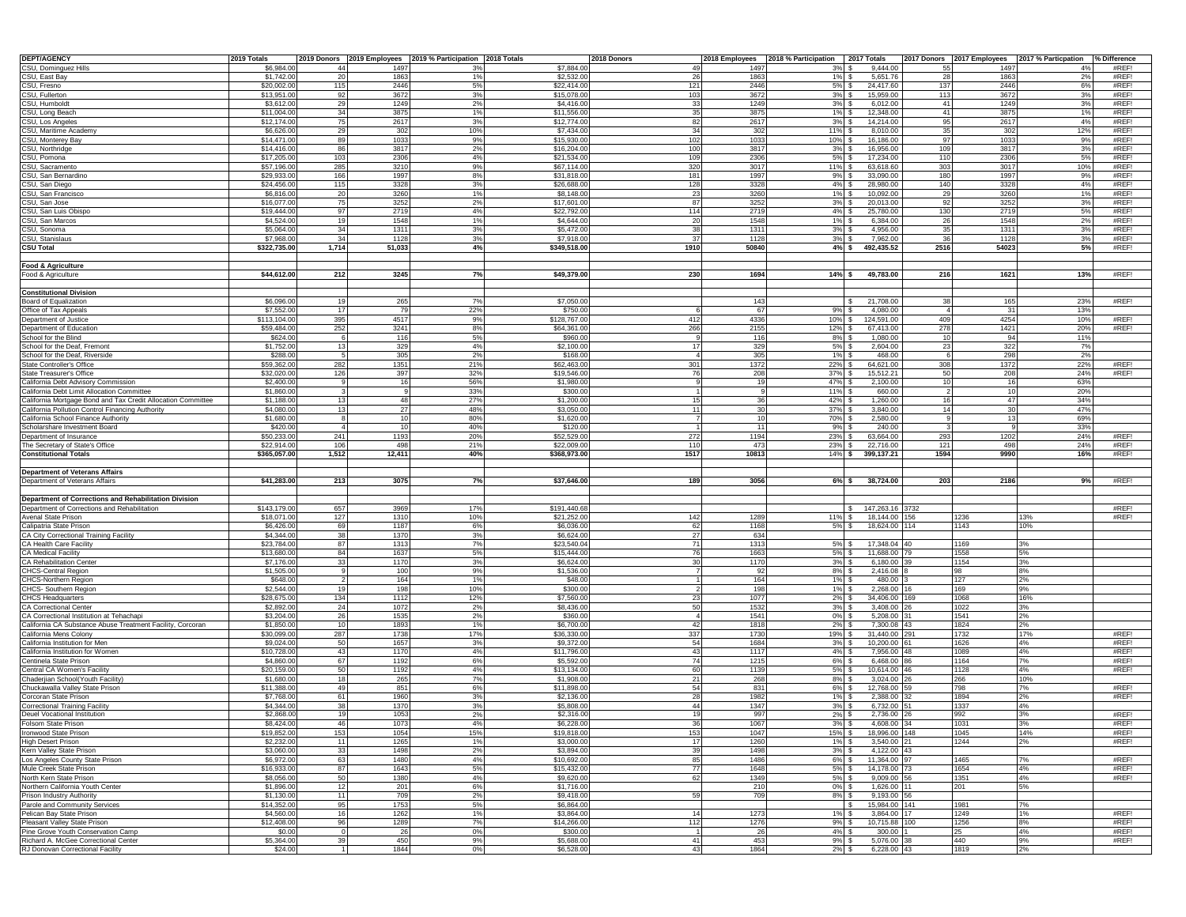| <b>DEPT/AGENCY</b>                                                       | 2019 Totals              |           |              | 2019 Donors 2019 Employees 2019 % Participation 2018 Totals |                          | 2018 Donors            |              | 2018 Employees 2018 % Participation 2017 Totals |                         |          |              | 2017 Donors 2017 Employees 2017 % Particpation % Difference |                |
|--------------------------------------------------------------------------|--------------------------|-----------|--------------|-------------------------------------------------------------|--------------------------|------------------------|--------------|-------------------------------------------------|-------------------------|----------|--------------|-------------------------------------------------------------|----------------|
| CSU, Dominguez Hills                                                     | \$6,984.0                | 44        | 1497         | 3%                                                          | \$7,884.00               | 49                     | 1497         | 3%                                              | 9.444.00                |          | 1497         | 4%                                                          | #REF!          |
| CSU, East Bay                                                            | \$1,742.00               | 20        | 1863         | 1%                                                          | \$2,532.0                | 26                     | 1863         | 1%                                              | 5,651.76                | 28       | 1863         | 2%                                                          | #REF!          |
| CSU, Fresno                                                              | \$20,002.0               | 115       | 2446         | 5%                                                          | \$22,414.0               | 121                    | 2446         | 5%                                              | 24,417.60               | 137      | 2446         | 6%                                                          | #REF!          |
| CSU, Fullerton                                                           | \$13,951.0               | 92        | 3672         | 3%                                                          | \$15,078.0               | 103                    | 3672         | 3%                                              | 15,959.00               | 113      | 3672         | 3%                                                          | #REF!          |
| CSU, Humboldt                                                            | \$3,612.0                | 29        | 1249         | 2%                                                          | \$4,416.0                | 33                     | 1249         | 3%                                              | 6,012.00                | 41       | 1249         | 3%<br>1%                                                    | #REF!          |
| CSU, Long Beach<br>CSU, Los Angeles                                      | \$11,004.0<br>\$12,174.0 | -34<br>75 | 3875<br>2617 | 1%<br>3%                                                    | \$11,556.0<br>\$12,774.0 | 35<br>82               | 3875<br>2617 | 1%<br>3%                                        | 12,348.00<br>14,214.00  | 41<br>95 | 3875<br>2617 | 4%                                                          | #REF!<br>#REF! |
| CSU, Maritime Academy                                                    | \$6,626.0                | -29       | 302          | 10%                                                         | \$7,434.0                | 34                     | 302          | 11%                                             | 8,010.00                | 35       | 302          | 12%                                                         | #REF!          |
| CSU, Monterey Bay                                                        | \$14,471.0               | 89        | 1033         | 9%                                                          | \$15,930.0               | 102                    | 1033         | 10%                                             | 16,186.00               | 97       | 1033         | 9%                                                          | #REF!          |
| CSU, Northridge                                                          | \$14,416.0               | 86        | 3817         | 2%                                                          | \$16,204.0               | 100                    | 3817         | 3%                                              | 16,956.00               | 109      | 3817         | 3%                                                          | #REF!          |
| CSU, Pomona                                                              | \$17,205.0               | 103       | 2306         | 4%                                                          | \$21,534.0               | 109                    | 2306         | 5%                                              | 17,234.00               | 110      | 2306         | 5%                                                          | #REF!          |
| CSU, Sacramento                                                          | \$57,196.0               | 285       | 3210         | 9%                                                          | \$67,114.0               | 320                    | 3017         | 11%                                             | 63,618.60               | 303      | 3017         | 10%                                                         | #REF!          |
| CSU, San Bernardino                                                      | \$29,933.0               | 166       | 1997         | 8%                                                          | \$31,818.0               | 181                    | 1997         | 9%                                              | 33,090.00               | 180      | 1997         | 9%                                                          | #REF!          |
| CSU, San Diego                                                           | \$24,456.0               | 115       | 3328         | 3%                                                          | \$26,688.0               | 128                    | 3328         | 4%                                              | 28,980.00               | 140      | 3328         | 4%                                                          | #REF!          |
| CSU, San Francisco                                                       | \$6,816.0                | 20        | 3260         | 1%                                                          | \$8,148.0                | 23                     | 3260         | 1%                                              | 10,092.00               | 29       | 3260         | 1%                                                          | #REF!          |
| CSU, San Jose                                                            | \$16,077.0               | 75        | 3252         | 2%                                                          | \$17,601.0               | 87                     | 3252         | 3%                                              | 20,013.00               | 92       | 3252         | 3%                                                          | #REF!          |
| CSU, San Luis Obispo                                                     | \$19,444.0               | - 97      | 2719         | 4%                                                          | \$22,792.0               | 114                    | 2719         | 4%                                              | 25,780.00               | 130      | 2719         | 5%                                                          | #REF!          |
| CSU, San Marcos                                                          | \$4,524.0                | 19        | 1548         | 1%                                                          | \$4,644.0                | 20                     | 1548         | 1%                                              | 6,384.00                | 26       | 1548         | 2%                                                          | #REF!          |
| CSU, Sonoma                                                              | \$5,064.0                | -34       | 1311         | 3%                                                          | \$5,472.0                | 38                     | 1311         | 3%                                              | 4,956.00                | 35       | 1311         | 3%                                                          | #REF!          |
| CSU, Stanislaus                                                          | \$7,968.0                | 34        | 1128         | 3%                                                          | \$7,918.0                | 37                     | 1128         | 3%                                              | 7,962.00                | 36       | 1128         | 3%                                                          | #REF!          |
| <b>CSU Total</b>                                                         | \$322,735.00             | 1,714     | 51,033       | 4%                                                          | \$349,518.00             | 1910                   | 50840        | 4%S                                             | 492,435.52              | 2516     | 54023        | 5%                                                          | #REF!          |
|                                                                          |                          |           |              |                                                             |                          |                        |              |                                                 |                         |          |              |                                                             |                |
| <b>Food &amp; Agriculture</b>                                            |                          |           |              |                                                             |                          |                        |              |                                                 |                         |          |              |                                                             |                |
| Food & Agriculture                                                       | \$44,612.00              | 212       | 3245         | 7%                                                          | \$49,379.00              | 230                    | 1694         | $14\%$ \$                                       | 49,783.00               | 216      | 1621         | 13%                                                         | #REF!          |
| <b>Constitutional Division</b>                                           |                          |           |              |                                                             |                          |                        |              |                                                 |                         |          |              |                                                             |                |
|                                                                          | \$6,096.0                | 10        |              | 7%                                                          | \$7,050.0                |                        |              |                                                 | 21,708.00               | 38       |              | 23%                                                         | #REF!          |
| Board of Equalization<br>Office of Tax Appeals                           | \$7,552.0                | 17        | 265<br>79    | 22%                                                         | \$750.0                  |                        | 143<br>67    | 9%                                              | 4.080.00                |          | 165<br>31    | 13%                                                         |                |
| Department of Justice                                                    | \$113,104.00             | 395       | 4517         | 9%                                                          | \$128,767.0              | 412                    | 4336         | 10%                                             | 124,591.00              | 409      | 4254         | 10%                                                         | #REF!          |
| Department of Education                                                  | \$59,484.0               | 252       | 3241         | 8%                                                          | \$64,361.0               | 266                    | 2155         | 12%                                             | 67,413.00               | 278      | 1421         | 20%                                                         | #REF!          |
| School for the Blind                                                     | \$624.0                  |           | 116          | 5%                                                          | \$960.0                  |                        | 116          | 8%                                              | 1,080.00                | 10       | 94           | 11%                                                         |                |
| School for the Deaf, Fremont                                             | \$1,752.0                | -13       | 329          | 4%                                                          | \$2,100.0                | 17                     | 329          | 5%                                              | 2,604.00                | 23       | 322          | 7%                                                          |                |
| School for the Deaf, Riverside                                           | \$288.0                  |           | 305          | 2%                                                          | \$168.0                  |                        | 305          | 1%                                              | 468.00                  |          | 298          | 2%                                                          |                |
| State Controller's Office                                                | \$59,362.0               | 282       | 1351         | 21%                                                         | \$62,463.0               | 301                    | 1372         | 22%                                             | 64,621.00               | 308      | 1372         | 22%                                                         | #REF!          |
| <b>State Treasurer's Office</b>                                          | \$32,020.0               | 126       | 397          | 32%                                                         | \$19,546.0               | 76                     | 208          | 37%                                             | 15,512.21               | 50       | 208          | 24%                                                         | #REF!          |
| California Debt Advisory Commission                                      | \$2,400.0                |           | 16           | 56%                                                         | \$1,980.0                |                        | 10           | 47%                                             | 2,100.00                | 10       | 16           | 63%                                                         |                |
| California Debt Limit Allocation Committee                               | \$1,860.0                |           |              | 33%                                                         | \$300.0                  |                        |              | 11%                                             | 660.00                  |          | 10           | 20%                                                         |                |
| California Mortgage Bond and Tax Credit Allocation Committee             | \$1,188.0                |           | 48           | 27%                                                         | \$1,200.0                | 15                     |              | 42%                                             | 1,260.00                | 16       | 47           | 34%                                                         |                |
| California Pollution Control Financing Authority                         | \$4,080.0                | 13        | 27           | 48%                                                         | \$3,050.0                | 11                     | 30           | 37%                                             | 3,840.00                | 14       | $30^{\circ}$ | 47%                                                         |                |
| California School Finance Authority                                      | \$1,680.0                |           | 10           | 80%                                                         | \$1,620.0                |                        | 10           | 70%                                             | 2,580.00                |          | 13           | 69%                                                         |                |
| Scholarshare Investment Board                                            | \$420.0                  |           | 10           | 40%                                                         | \$120.0                  |                        | 11           | 9%                                              | 240.00                  |          |              | 33%                                                         |                |
| Department of Insurance                                                  | \$50,233.0               | 241       | 1193         | 20%                                                         | \$52,529.0               | 272                    | 1194         | 23%                                             | 63,664.00               | 293      | 1202         | 24%                                                         | #REF!          |
| The Secretary of State's Office                                          | \$22,914.0               | 106       | 498          | 21%                                                         | \$22,009.0               | 110                    | 473          | 23%                                             | 22,716.00               | 121      | 498          | 24%                                                         | #REF!          |
| <b>Constitutional Totals</b>                                             | \$365,057.00             | 1,512     | 12,411       | 40%                                                         | \$368,973.0              | 1517                   | 10813        | 14%                                             | 399,137.21              | 1594     | 9990         | 16%                                                         | #REF!          |
|                                                                          |                          |           |              |                                                             |                          |                        |              |                                                 |                         |          |              |                                                             |                |
| <b>Department of Veterans Affairs</b><br>Department of Veterans Affairs  |                          |           |              | 7%                                                          |                          |                        |              |                                                 |                         |          |              | 9%                                                          | #REF!          |
|                                                                          | \$41,283.00              | 213       | 3075         |                                                             | \$37,646.0               | 189                    | 3056         | 6%S                                             | 38,724.00               | 203      | 2186         |                                                             |                |
| Department of Corrections and Rehabilitation Division                    |                          |           |              |                                                             |                          |                        |              |                                                 |                         |          |              |                                                             |                |
| Department of Corrections and Rehabilitation                             | \$143,179.0              | 657       | 3969         | 17%                                                         | \$191,440.6              |                        |              |                                                 | 147,263.16 3732         |          |              |                                                             | #REF!          |
| Avenal State Prison                                                      | \$18,071.0               | 127       | 1310         | 10%                                                         | \$21,252.0               | 142                    | 128          | 11%                                             | 18,144.00               | 156      | 1236         | 13%                                                         | #REF!          |
| Calipatria State Prison                                                  | \$6,426.0                | 69        | 1187         | 6%                                                          | \$6,036.0                | 62                     | 1168         | 5%                                              | 18,624.00 114           |          | 1143         | 10%                                                         |                |
| CA City Correctional Training Facility                                   | \$4,344.0                | 38        | 1370         | 3%                                                          | \$6,624.0                | 27                     | 634          |                                                 |                         |          |              |                                                             |                |
| CA Health Care Facility                                                  | \$23,784.0               | 87        | 1313         | 7%                                                          | \$23,540.0               | 71                     | 1313         | 5%                                              | 17,348.04               | 40       | 1169         | 3%                                                          |                |
| <b>CA Medical Facility</b>                                               | \$13,680.0               | 84        | 1637         | 5%                                                          | \$15,444.0               | 76                     | 1663         | 5%                                              | 11,688.00               |          | 1558         | 5%                                                          |                |
| CA Rehabilitation Center                                                 | \$7,176.0                | 33        | 1170         | 3%                                                          | \$6,624.0                | 3 <sup>c</sup>         | 1170         | 3%                                              | 6,180.00                |          | 1154         | 3%                                                          |                |
| CHCS-Central Region                                                      | \$1,505.0                |           | 100          | 9%                                                          | \$1,536.0                |                        |              | 8%                                              | 2,416.08                |          | 98           | 8%                                                          |                |
| <b>CHCS-Northern Regior</b>                                              | \$648.0                  |           | 164          | 1%                                                          | \$48.0                   |                        | 164          | 1%                                              | 480.00                  |          | 127          | 2%                                                          |                |
| CHCS-Southern Region                                                     | \$2,544.0                |           | 198          | 10%                                                         | \$300.0                  |                        | 198          | 1%                                              | 2,268.00                |          | 169          | 9%                                                          |                |
| <b>CHCS Headquarters</b>                                                 | \$28,675.0               | 134       | 1112         | 12%                                                         | \$7,560.0                | 23                     | 1077         | 2%                                              | 34,406.00               | 169      | 1068         | 16%                                                         |                |
| <b>CA Correctional Center</b>                                            | \$2,892.0                | 24        | 1072         | 2%                                                          | \$8,436.0                | 50                     | 1532         | 3%                                              | 3,408.00                |          | 1022         | 3%                                                          |                |
| CA Correctional Institution at Tehachapi                                 | \$3,204.0                | 26        | 1535         | 2%                                                          | \$360.0                  | $\boldsymbol{\Lambda}$ | 1541         | $0\%$                                           | 5,208.00                |          | 1541         | 2%                                                          |                |
| California CA Substance Abuse Treatment Facility, Corcoran               | \$1,850.0                | 10        | 1893         | 1%                                                          | \$6,700.0                | 42                     | 1818         | 2%                                              | 7,300.08                | 43       | 1824         | 2%                                                          |                |
| California Mens Colony                                                   | \$30,099.0               | 287       | 1738         | 17%                                                         | \$36,330.0               | 337                    | 1730         | 19%                                             | 31,440.00               | 291      | 1732         | 17%                                                         | #REF!          |
| California Institution for Men<br>California Institution for Women       | \$9,024.0<br>\$10,728.0  | 50<br>43  | 1657<br>1170 | 3%<br>4%                                                    | \$9,372.0<br>\$11,796.0  | 54                     | 1684         | 3%                                              | 10,200.00<br>7,956.00   |          | 1626<br>1089 | 4%<br>4%                                                    | #REF!<br>#REF! |
| Centinela State Prison                                                   | \$4,860.0                | 67        | 1192         | 6%                                                          | \$5,592.0                | 43<br>74               | 1117<br>1215 | 4%<br>6%                                        | 6,468.00                |          | 1164         | 7%                                                          | #REF!          |
| Central CA Women's Facility                                              | \$20,159.0               | 50        | 1192         | 4%                                                          | \$13,134.0               | 60                     | 1139         | 5%                                              | 10,614.00               |          | 1128         | 4%                                                          | #REF!          |
| Chaderjian School(Youth Facility)                                        | \$1,680.0                |           | 265          | 7%                                                          | \$1,908.0                | 21                     | 268          | 8%                                              | 3,024.00                |          | 266          | 10%                                                         |                |
| Chuckawalla Valley State Prison                                          | \$11,388.0               | 49        | 851          | 6%                                                          | \$11,898.0               | 54                     | 831          | 6%                                              | 12.768.00               |          | 798          |                                                             | #REF!          |
| Corcoran State Prisor                                                    | \$7,768.0                | 61        | 1960         | 3%                                                          | \$2,136.0                | 28                     | 1982         | 1%                                              | 2,388.00                |          | 1894         | 2%                                                          | #REF!          |
| Correctional Training Facility                                           | \$4,344.0                |           | 1370         | 3%                                                          | \$5,808.0                | 44                     | 1347         | 3%                                              | 6,732.00                |          | 1337         | 4%                                                          |                |
| Deuel Vocational Institution                                             | \$2,868.0                |           | 1053         | 2%                                                          | \$2,316.0                | 19                     | 99           | 2%                                              | 2,736.00                |          | 992          | 3%                                                          | #REF!          |
| Folsom State Prison                                                      | \$8,424.UI               |           | 107          |                                                             | 36,228.UI                |                        | 1 U G        | $3\%$                                           | 4,608.00 34             |          |              |                                                             | <b>#KEF</b>    |
| Ironwood State Prison                                                    | \$19,852.00              | 153       | 1054         | 15%                                                         | \$19,818.00              | 153                    | 1047         | 15% \$                                          | 18,996.00 148           |          | 1045         | 14%                                                         | #REF!          |
| <b>High Desert Prison</b>                                                | \$2,232.0                | 11        | 1265         | 1%                                                          | \$3,000.0                | 17                     | 1260         | 1%                                              | 3.540.00 21             |          | 1244         | 2%                                                          | #REF!          |
| Kern Valley State Prison                                                 | \$3,060.00               | 33        | 1498         | 2%                                                          | \$3,894.00               | 39                     | 1498         | 3%                                              | 4,122.00                | 43       |              |                                                             |                |
| Los Angeles County State Prison                                          | \$6,972.00               | 63        | 1480         | 4%                                                          | \$10,692.00              | 85                     | 1486         | $6\%$ \$                                        | 11,364.00               |          | 1465         | 7%                                                          | #REF!          |
| Mule Creek State Prison                                                  | \$16,933.00              | 87        | 1643         | 5%                                                          | \$15,432.00              | 77                     | 1648         | $5\%$ \$                                        | 14,178.00               | 73       | 1654         | 4%                                                          | #REF!          |
| North Kern State Prison                                                  | \$8,056.00               | 50        | 1380         | 4%                                                          | \$9,620.00               | 62                     | 1349         | 5%                                              | 9,009.00                | 56       | 1351         | 4%                                                          | #REF!          |
| Northern California Youth Center                                         | \$1,896.00               | 12        | 201          | 6%                                                          | \$1,716.00               |                        | 210          | $0\%$                                           | 1,626.00                | 11       | 201          | 5%                                                          |                |
| Prison Industry Authority                                                | \$1,130.00               | 11        | 709          | 2%                                                          | \$9,418.00               | 59                     | 709          | $8\%$ \$                                        | 9,193.00                | 56       |              |                                                             |                |
| Parole and Community Services                                            | \$14,352.00              | 95        | 1753         | 5%                                                          | \$6,864.00               |                        |              |                                                 | 15,984.00               | 141      | 1981         | 7%                                                          |                |
| Pelican Bay State Prison                                                 | \$4,560.00               |           | 1262         | 1%                                                          | \$3,864.00               | 14                     | 1273         | 1%                                              | 3,864.00                | 17       | 1249         | 1%                                                          | #REF!          |
| Pleasant Valley State Prison                                             | \$12,408.00              |           | 1289         | 7%                                                          | \$14,266.00              | 112                    | 1276         | 9%                                              | 10,715.88               | 100      | 1256         | 8%                                                          | #REF!          |
| Pine Grove Youth Conservation Camp                                       | \$0.00                   |           | 26           | $0\%$                                                       | \$300.00                 |                        | 26           | 4%                                              | 300.00                  |          | 25           | 4%                                                          | #REF!          |
| Richard A. McGee Correctional Center<br>RJ Donovan Correctional Facility | \$5,364.00<br>\$24.00    |           | 450<br>1844  | 9%<br>$0\%$                                                 | \$5,688.00<br>\$6,528.00 | 41<br>43               | 453<br>1864  | 9%<br>$2\%$ \$                                  | 5,076.00<br>6,228.00 43 |          | 440<br>1819  | 9%<br>2%                                                    | #REF!          |
|                                                                          |                          |           |              |                                                             |                          |                        |              |                                                 |                         |          |              |                                                             |                |